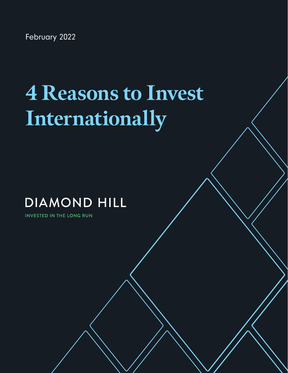February 2022

# **4 Reasons to Invest Internationally**

diamond-hill.com 855.255.8955

## **DIAMOND HILL**

**INVESTED IN THE LONG RUN**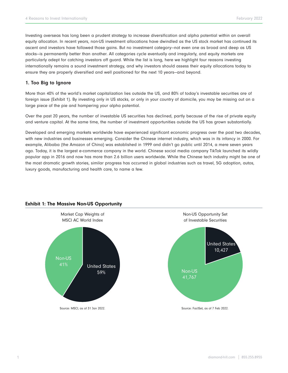Investing overseas has long been a prudent strategy to increase diversification and alpha potential within an overall equity allocation. In recent years, non-US investment allocations have dwindled as the US stock market has continued its ascent and investors have followed those gains. But no investment category—not even one as broad and deep as US stocks—is permanently better than another. All categories cycle eventually and irregularly, and equity markets are particularly adept for catching investors off guard. While the list is long, here we highlight four reasons investing internationally remains a sound investment strategy, and why investors should assess their equity allocations today to ensure they are properly diversified and well positioned for the next 10 years—and beyond.

#### 1. Too Big to Ignore

More than 40% of the world's market capitalization lies outside the US, and 80% of today's investable securities are of foreign issue (Exhibit 1). By investing only in US stocks, or only in your country of domicile, you may be missing out on a large piece of the pie and hampering your alpha potential.

Over the past 20 years, the number of investable US securities has declined, partly because of the rise of private equity and venture capital. At the same time, the number of investment opportunities outside the US has grown substantially.

Developed and emerging markets worldwide have experienced significant economic progress over the past two decades, with new industries and businesses emerging. Consider the Chinese internet industry, which was in its infancy in 2000. For example, Alibaba (the Amazon of China) was established in 1999 and didn't go public until 2014, a mere seven years ago. Today, it is the largest e-commerce company in the world. Chinese social media company TikTok launched its wildly popular app in 2016 and now has more than 2.6 billion users worldwide. While the Chinese tech industry might be one of the most dramatic growth stories, similar progress has occurred in global industries such as travel, 5G adoption, autos, luxury goods, manufacturing and health care, to name a few.



### Exhibit 1: The Massive Non-US Opportunity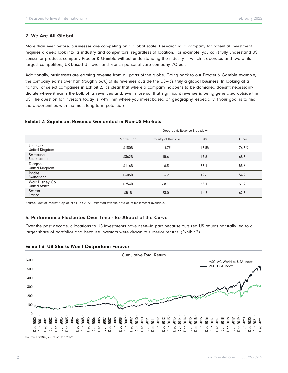#### 2. We Are All Global

More than ever before, businesses are competing on a global scale. Researching a company for potential investment requires a deep look into its industry and competitors, regardless of location. For example, you can't fully understand US consumer products company Procter & Gamble without understanding the industry in which it operates and two of its largest competitors, UK-based Unilever and French personal care company L'Oreal.

Additionally, businesses are earning revenue from all parts of the globe. Going back to our Procter & Gamble example, the company earns over half (roughly 56%) of its revenues outside the US—it's truly a global business. In looking at a handful of select companies in Exhibit 2, it's clear that where a company happens to be domiciled doesn't necessarily dictate where it earns the bulk of its revenues and, even more so, that significant revenue is being generated outside the US. The question for investors today is, why limit where you invest based on geography, especially if your goal is to find the opportunities with the most long-term potential?

#### Exhibit 2: Significant Revenue Generated in Non-US Markets

|                                  | Geographic Revenue Breakdown |                     |       |       |
|----------------------------------|------------------------------|---------------------|-------|-------|
|                                  | <b>Market Cap</b>            | Country of Domicile | US    | Other |
| Unilever<br>United Kingdom       | \$130B                       | 4.7%                | 18.5% | 76.8% |
| Samsung<br>South Korea           | \$362B                       | 15.6                | 15.6  | 68.8  |
| Diageo<br>United Kingdom         | \$116B                       | 6.3                 | 38.1  | 55.6  |
| Roche<br>Switzerland             | \$306B                       | 3.2                 | 42.6  | 54.2  |
| Walt Disney Co.<br>United States | \$254B                       | 68.1                | 68.1  | 31.9  |
| Safran<br>France                 | \$51B                        | 23.0                | 14.2  | 62.8  |

Source: FactSet. Market Cap as of 31 Jan 2022. Estimated revenue data as of most recent available.

#### 3. Performance Fluctuates Over Time - Be Ahead of the Curve

Over the past decade, allocations to US investments have risen—in part because outsized US returns naturally led to a larger share of portfolios and because investors were drawn to superior returns. (Exhibit 3).





Source: FactSet, as of 31 Jan 2022.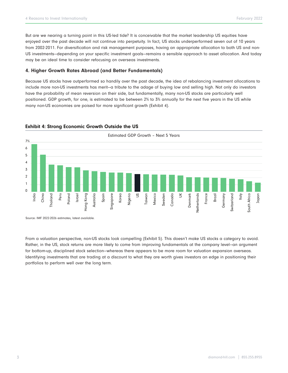But are we nearing a turning point in this US-led tide? It is conceivable that the market leadership US equities have enjoyed over the past decade will not continue into perpetuity. In fact, US stocks underperformed seven out of 10 years from 2002-2011. For diversification and risk management purposes, having an appropriate allocation to both US and non-US investments—depending on your specific investment goals—remains a sensible approach to asset allocation. And today may be an ideal time to consider refocusing on overseas investments.

#### 4. Higher Growth Rates Abroad (and Better Fundamentals)

Because US stocks have outperformed so handily over the past decade, the idea of rebalancing investment allocations to include more non-US investments has merit—a tribute to the adage of buying low and selling high. Not only do investors have the probability of mean reversion on their side, but fundamentally, many non-US stocks are particularly well positioned. GDP growth, for one, is estimated to be between 2% to 3% annually for the next five years in the US while many non-US economies are poised for more significant growth (Exhibit 4).



#### Exhibit 4: Strong Economic Growth Outside the US

Source: IMF 2022-2026 estimates, latest available.

From a valuation perspective, non-US stocks look compelling (Exhibit 5). This doesn't make US stocks a category to avoid. Rather, in the US, stock returns are more likely to come from improving fundamentals at the company level—an argument for bottom-up, disciplined stock selection—whereas there appears to be more room for valuation expansion overseas. Identifying investments that are trading at a discount to what they are worth gives investors an edge in positioning their portfolios to perform well over the long term.